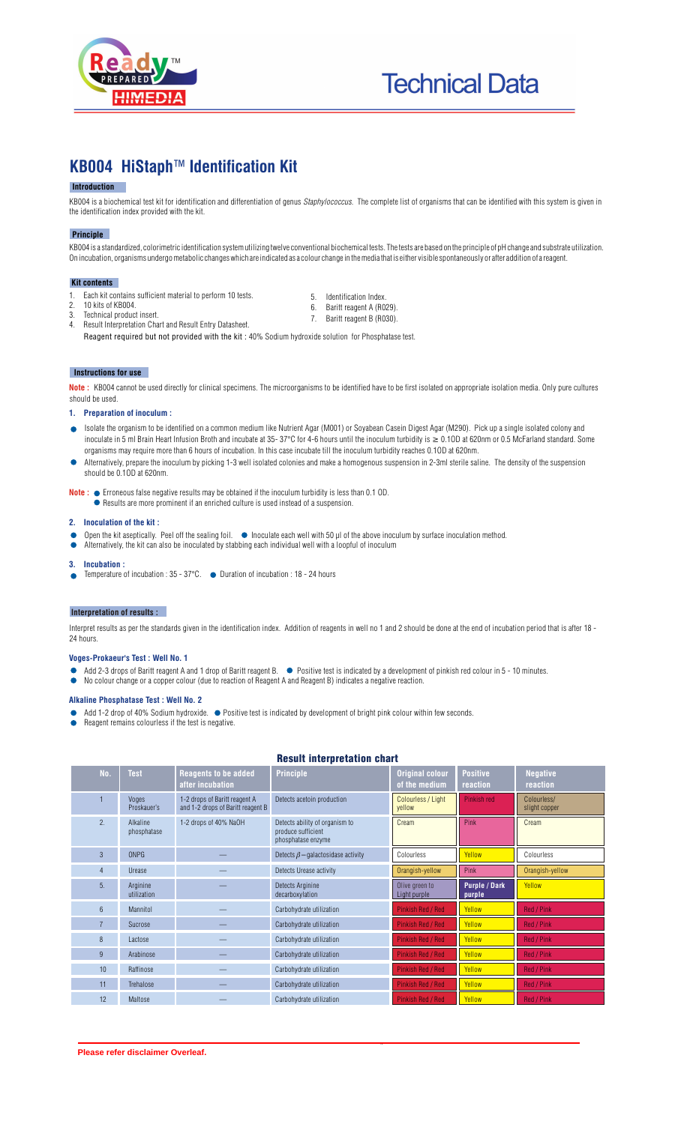

# **Technical Data**

## **KB004 HiStaph**™ **Identification Kit**

### **Introduction**

KB004 is a biochemical test kit for identification and differentiation of genus *Staphylococcus*. The complete list of organisms that can be identified with this system is given in the identification index provided with the kit.

#### **Principle**

KB004 is a standardized, colorimetric identification system utilizing twelve conventional biochemical tests. The tests are based on the principle of pH change and substrate utilization. On incubation, organisms undergo metabolic changes which are indicated as a colour change in the media that is either visible spontaneously or after addition of a reagent.

#### l  **Kit contents**

- 1. Each kit contains sufficient material to perform 10 tests.<br>2. 10 kits of KB004.
- 5. Identification Index.
- 6. Baritt reagent A (R029). 7. Baritt reagent B (R030).
- 3. Technical product insert. 4. Result Interpretation Chart and Result Entry Datasheet.

Reagent required but not provided with the kit : 40% Sodium hydroxide solution for Phosphatase test.

#### **Instructions for use**

2. 10 kits of KB004.

**Note** : KB004 cannot be used directly for clinical specimens. The microorganisms to be identified have to be first isolated on appropriate isolation media. Only pure cultures should be used.

#### **1. Preparation of inoculum :**

- Isolate the organism to be identified on a common medium like Nutrient Agar (M001) or Soyabean Casein Digest Agar (M290). Pick up a single isolated colony and inoculate in 5 ml Brain Heart Infusion Broth and incubate at 35- 37°C for 4-6 hours until the inoculum turbidity is  $\geq 0.10D$  at 620nm or 0.5 McFarland standard. Some organisms may require more than 6 hours of incubation. In this case incubate till the inoculum turbidity reaches 0.1OD at 620nm.
- Alternatively, prepare the inoculum by picking 1-3 well isolated colonies and make a homogenous suspension in 2-3ml sterile saline. The density of the suspension should be 0.1OD at 620nm.

**Note : ●** Erroneous false negative results may be obtained if the inoculum turbidity is less than 0.1 OD.

Results are more prominent if an enriched culture is used instead of a suspension.

#### **2. Inoculation of the kit :**

- Open the kit aseptically. Peel off the sealing foil.  $\bullet$  Inoculate each well with 50 ul of the above inoculum by surface inoculation method.
- Alternatively, the kit can also be inoculated by stabbing each individual well with a loopful of inoculum  $\bullet$

#### **3. Incubation :**

Temperature of incubation : 35 - 37°C. ● Duration of incubation : 18 - 24 hours  $\bullet$ 

#### **Interpretation of results :**

Interpret results as per the standards given in the identification index. Addition of reagents in well no 1 and 2 should be done at the end of incubation period that is after 18 - 24 hours.

#### **Voges-Prokaeur's Test : Well No. 1**

Add 2-3 drops of Baritt reagent A and 1 drop of Baritt reagent B. Positive test is indicated by a development of pinkish red colour in 5 - 10 minutes. No colour change or a copper colour (due to reaction of Reagent A and Reagent B) indicates a negative reaction.

#### **Alkaline Phosphatase Test : Well No. 2**

- Add 1-2 drop of 40% Sodium hydroxide.  $\bullet$  Positive test is indicated by development of bright pink colour within few seconds.
- Reagent remains colourless if the test is negative.  $\bullet$

#### Result interpretation chart

| No.            | <b>Test</b>             | <b>Reagents to be added</b><br>after incubation                    | <b>Principle</b>                                                           | <b>Original colour</b><br>of the medium     | <b>Positive</b><br>reaction    | <b>Negative</b><br>reaction  |  |
|----------------|-------------------------|--------------------------------------------------------------------|----------------------------------------------------------------------------|---------------------------------------------|--------------------------------|------------------------------|--|
|                | Voges<br>Proskauer's    | 1-2 drops of Baritt reagent A<br>and 1-2 drops of Baritt reagent B | Detects acetoin production                                                 | Colourless / Light<br>Pinkish red<br>vellow |                                | Colourless/<br>slight copper |  |
| 2.             | Alkaline<br>phosphatase | 1-2 drops of 40% NaOH                                              | Detects ability of organism to<br>produce sufficient<br>phosphatase enzyme | Cream                                       | Pink                           | Cream                        |  |
| $\overline{3}$ | <b>ONPG</b>             |                                                                    | Detects $\beta$ – galactosidase activity                                   | Colourless                                  | Yellow                         | Colourless                   |  |
| 4              | Urease                  |                                                                    | Detects Urease activity                                                    | Orangish-yellow                             | Pink                           | Orangish-yellow              |  |
| 5.             | Arginine<br>utilization |                                                                    | <b>Detects Arginine</b><br>decarboxylation                                 | Olive green to<br>Light purple              | <b>Purple / Dark</b><br>purple | Yellow                       |  |
| $6\phantom{1}$ | Mannitol                |                                                                    | Carbohydrate utilization                                                   | Pinkish Red / Red                           | Yellow                         | Red / Pink                   |  |
| $\overline{7}$ | Sucrose                 |                                                                    | Carbohydrate utilization                                                   | Pinkish Red / Red                           | Yellow                         | Red / Pink                   |  |
| 8              | Lactose                 |                                                                    | Carbohydrate utilization                                                   | <b>Pinkish Red / Red</b>                    | Yellow                         | Red / Pink                   |  |
| 9              | Arabinose               |                                                                    | Carbohydrate utilization                                                   | <b>Pinkish Red / Red</b>                    | Yellow                         | Red / Pink                   |  |
| 10             | Raffinose               |                                                                    | Carbohydrate utilization                                                   | <b>Pinkish Red / Red</b>                    | Yellow                         | Red / Pink                   |  |
| 11             | Trehalose               |                                                                    | Carbohydrate utilization                                                   | <b>Pinkish Red / Red</b>                    | Yellow                         | Red / Pink                   |  |
| 12             | Maltose                 |                                                                    | Carbohydrate utilization                                                   | Pinkish Red / Red                           | Yellow                         | Red / Pink                   |  |